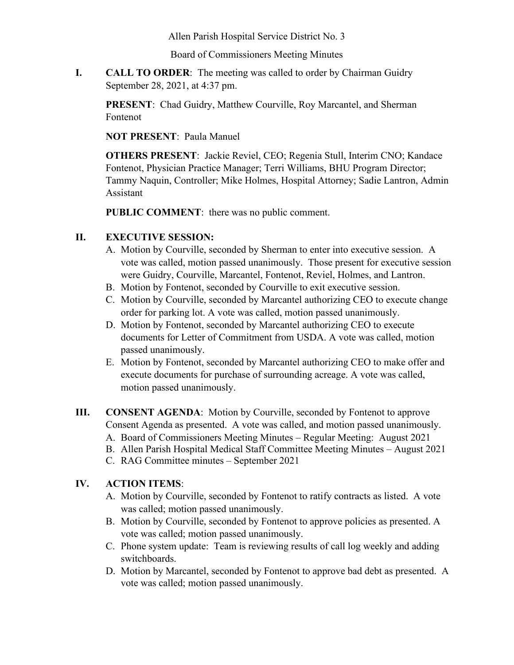Allen Parish Hospital Service District No. 3

Board of Commissioners Meeting Minutes

**I. CALL TO ORDER**: The meeting was called to order by Chairman Guidry September 28, 2021, at 4:37 pm.

**PRESENT**: Chad Guidry, Matthew Courville, Roy Marcantel, and Sherman Fontenot

**NOT PRESENT**: Paula Manuel

**OTHERS PRESENT**: Jackie Reviel, CEO; Regenia Stull, Interim CNO; Kandace Fontenot, Physician Practice Manager; Terri Williams, BHU Program Director; Tammy Naquin, Controller; Mike Holmes, Hospital Attorney; Sadie Lantron, Admin Assistant

**PUBLIC COMMENT**: there was no public comment.

## **II. EXECUTIVE SESSION:**

- A. Motion by Courville, seconded by Sherman to enter into executive session. A vote was called, motion passed unanimously. Those present for executive session were Guidry, Courville, Marcantel, Fontenot, Reviel, Holmes, and Lantron.
- B. Motion by Fontenot, seconded by Courville to exit executive session.
- C. Motion by Courville, seconded by Marcantel authorizing CEO to execute change order for parking lot. A vote was called, motion passed unanimously.
- D. Motion by Fontenot, seconded by Marcantel authorizing CEO to execute documents for Letter of Commitment from USDA. A vote was called, motion passed unanimously.
- E. Motion by Fontenot, seconded by Marcantel authorizing CEO to make offer and execute documents for purchase of surrounding acreage. A vote was called, motion passed unanimously.
- **III. CONSENT AGENDA**: Motion by Courville, seconded by Fontenot to approve Consent Agenda as presented. A vote was called, and motion passed unanimously. A. Board of Commissioners Meeting Minutes – Regular Meeting: August 2021
	- B. Allen Parish Hospital Medical Staff Committee Meeting Minutes August 2021
	- C. RAG Committee minutes September 2021

## **IV. ACTION ITEMS**:

- A. Motion by Courville, seconded by Fontenot to ratify contracts as listed. A vote was called; motion passed unanimously.
- B. Motion by Courville, seconded by Fontenot to approve policies as presented. A vote was called; motion passed unanimously.
- C. Phone system update: Team is reviewing results of call log weekly and adding switchboards.
- D. Motion by Marcantel, seconded by Fontenot to approve bad debt as presented. A vote was called; motion passed unanimously.